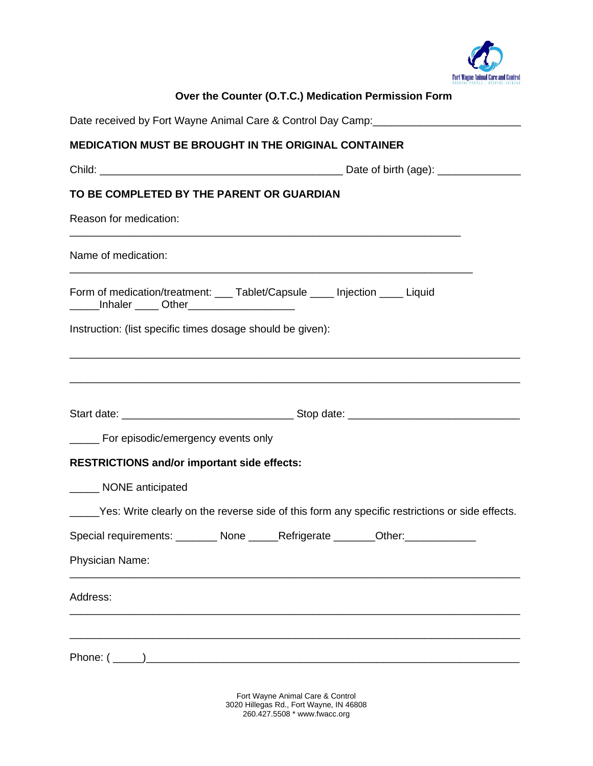

| Over the Counter (O.T.C.) Medication Permission Form                                                                                         |
|----------------------------------------------------------------------------------------------------------------------------------------------|
| Date received by Fort Wayne Animal Care & Control Day Camp: ____________________                                                             |
| <b>MEDICATION MUST BE BROUGHT IN THE ORIGINAL CONTAINER</b>                                                                                  |
|                                                                                                                                              |
| TO BE COMPLETED BY THE PARENT OR GUARDIAN                                                                                                    |
| Reason for medication:                                                                                                                       |
| <u> 1989 - Johann Barbara, martxa alemaniar argumentuar argumentuar argumentuar argumentuar argumentuar argumentu</u><br>Name of medication: |
| Form of medication/treatment: ___ Tablet/Capsule ____ Injection ____ Liquid<br>Inhaler _____ Other______________________                     |
| Instruction: (list specific times dosage should be given):                                                                                   |
|                                                                                                                                              |
|                                                                                                                                              |
| ______ For episodic/emergency events only                                                                                                    |
| <b>RESTRICTIONS and/or important side effects:</b>                                                                                           |
| NONE anticipated                                                                                                                             |
| Yes: Write clearly on the reverse side of this form any specific restrictions or side effects.                                               |
| Special requirements: ________ None ______Refrigerate _______Other: ____________                                                             |
| Physician Name:                                                                                                                              |
| Address:                                                                                                                                     |
|                                                                                                                                              |

Fort Wayne Animal Care & Control 3020 Hillegas Rd., Fort Wayne, IN 46808 260.427.5508 \* www.fwacc.org